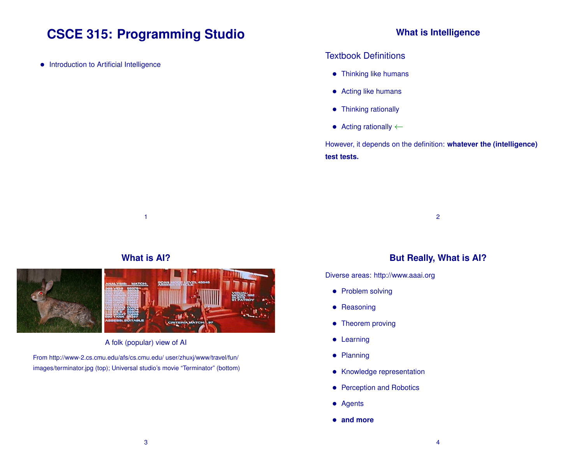# **CSCE 315: Programming Studio**

• Introduction to Artificial Intelligence

# **What is Intelligence**

#### Textbook Definitions

- Thinking like humans
- Acting like humans
- Thinking rationally
- Acting rationally ←

However, it depends on the definition: **whatever the (intelligence) test tests.**

2

# **What is AI?**

1



A folk (popular) view of AI

From http://www-2.cs.cmu.edu/afs/cs.cmu.edu/ user/zhuxj/www/travel/fun/ images/terminator.jpg (top); Universal studio's movie "Terminator" (bottom)

## **But Really, What is AI?**

Diverse areas: http://www.aaai.org

- Problem solving
- Reasoning
- Theorem proving
- Learning
- Planning
- Knowledge representation
- Perception and Robotics
- Agents
- **and more**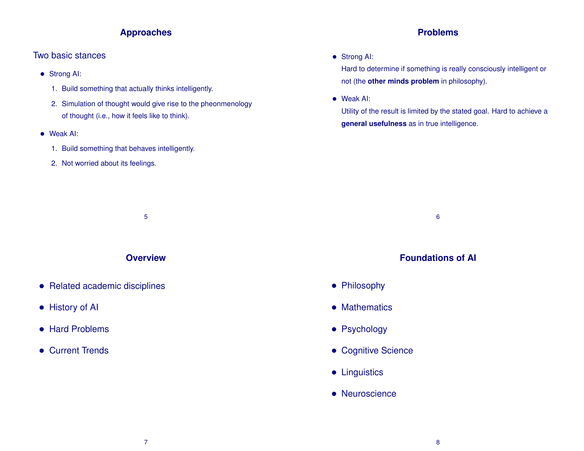## **Approaches**

# Two basic stances

- Strong AI:
	- 1. Build something that actually thinks intelligently.
	- 2. Simulation of thought would give rise to the pheonmenology of thought (i.e., how it feels like to think).
- Weak AI:
	- 1. Build something that behaves intelligently.
	- 2. Not worried about its feelings.

# **Problems**

• Strong AI:

Hard to determine if something is really consciously intelligent or not (the **other minds problem** in philosophy).

• Weak AI:

Utility of the result is limited by the stated goal. Hard to achieve a **general usefulness** as in true intelligence.

5 6

# **Foundations of AI**

- Philosophy
- Mathematics
- Psychology
- Cognitive Science
- Linguistics
- Neuroscience

# **Overview**

- Related academic disciplines
- History of AI
- Hard Problems
- Current Trends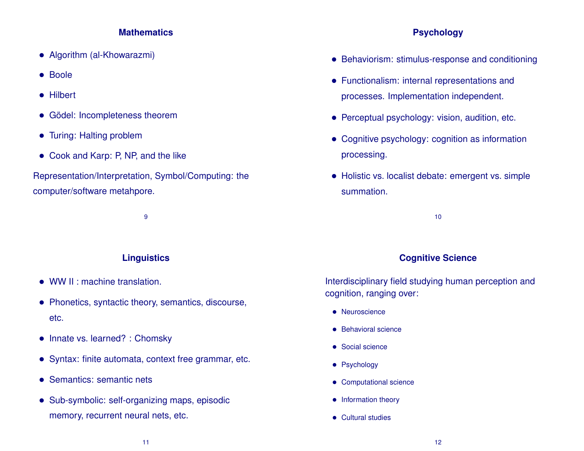#### **Mathematics**

- Algorithm (al-Khowarazmi)
- Boole
- Hilbert
- Gödel: Incompleteness theorem
- Turing: Halting problem
- Cook and Karp: P, NP, and the like

Representation/Interpretation, Symbol/Computing: the computer/software metahpore.

9

# **Linguistics**

- WW II : machine translation.
- Phonetics, syntactic theory, semantics, discourse, etc.
- Innate vs. learned? : Chomsky
- Syntax: finite automata, context free grammar, etc.
- Semantics: semantic nets
- Sub-symbolic: self-organizing maps, episodic memory, recurrent neural nets, etc.

# **Psychology**

- Behaviorism: stimulus-response and conditioning
- Functionalism: internal representations and processes. Implementation independent.
- Perceptual psychology: vision, audition, etc.
- Cognitive psychology: cognition as information processing.
- Holistic vs. localist debate: emergent vs. simple summation.

10

#### **Cognitive Science**

Interdisciplinary field studying human perception and cognition, ranging over:

- Neuroscience
- Behavioral science
- Social science
- Psychology
- Computational science
- Information theory
- Cultural studies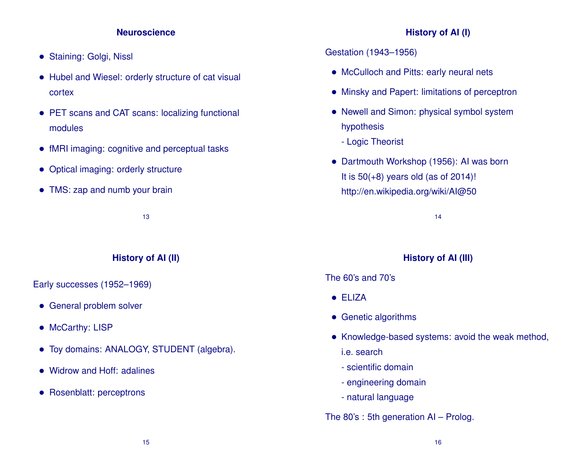#### **Neuroscience**

- Staining: Golgi, Nissl
- Hubel and Wiesel: orderly structure of cat visual cortex
- PET scans and CAT scans: localizing functional modules
- fMRI imaging: cognitive and perceptual tasks
- Optical imaging: orderly structure
- TMS: zap and numb your brain

13

# **History of AI (II)**

Early successes (1952–1969)

- General problem solver
- McCarthy: LISP
- Toy domains: ANALOGY, STUDENT (algebra).
- Widrow and Hoff: adalines
- Rosenblatt: perceptrons

# **History of AI (I)**

#### Gestation (1943–1956)

- McCulloch and Pitts: early neural nets
- Minsky and Papert: limitations of perceptron
- Newell and Simon: physical symbol system hypothesis
	- Logic Theorist
- Dartmouth Workshop (1956): AI was born It is  $50(+8)$  years old (as of 2014)! http://en.wikipedia.org/wiki/AI@50

14

#### **History of AI (III)**

#### The 60's and 70's

- ELIZA
- Genetic algorithms
- Knowledge-based systems: avoid the weak method, i.e. search
	- scientific domain
	- engineering domain
	- natural language

### The 80's : 5th generation AI – Prolog.